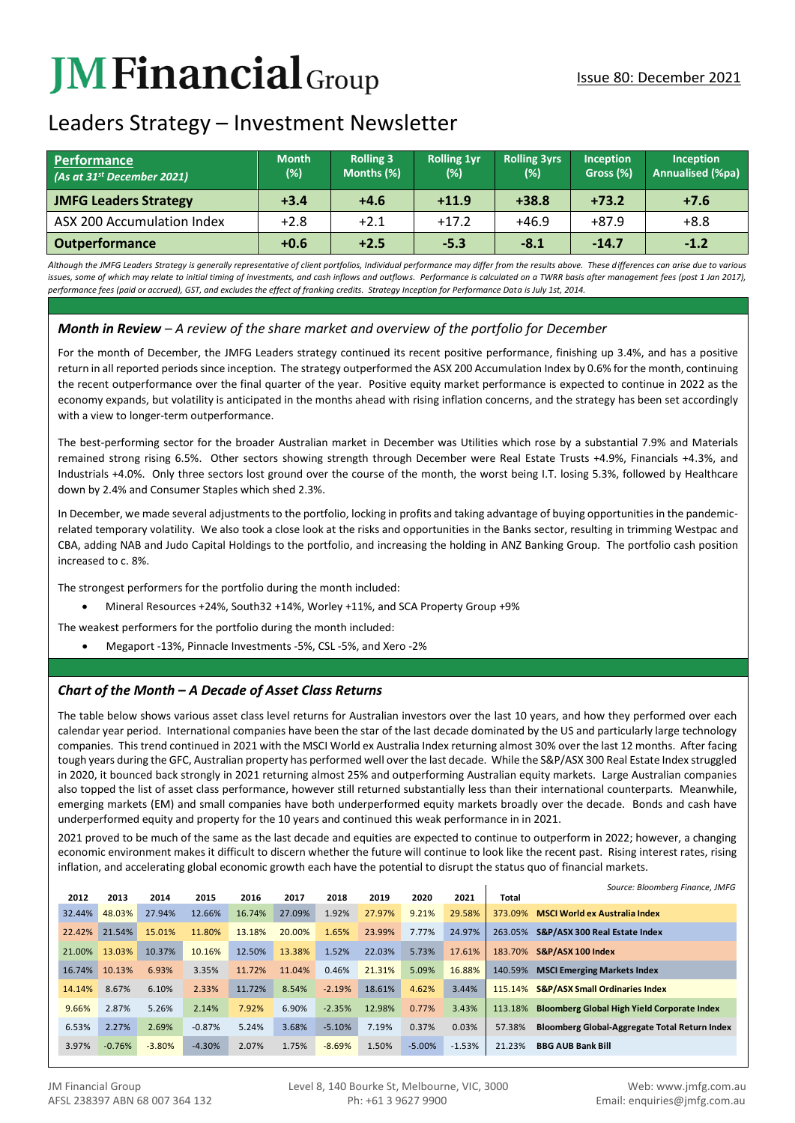# **JMFinancial**Group

# Leaders Strategy – Investment Newsletter

| <b>Performance</b><br>(As at 31 <sup>st</sup> December 2021) | <b>Month</b><br>$(\%)$ | <b>Rolling 3</b><br>Months (%) | <b>Rolling 1yr</b><br>(%) | <b>Rolling 3yrs</b><br>(%) | <b>Inception</b><br>Gross (%) | <b>Inception</b><br>Annualised (%pa) |  |
|--------------------------------------------------------------|------------------------|--------------------------------|---------------------------|----------------------------|-------------------------------|--------------------------------------|--|
| <b>JMFG Leaders Strategy</b>                                 | $+3.4$                 | $+4.6$                         | $+11.9$                   | $+38.8$                    | $+73.2$                       | $+7.6$                               |  |
| ASX 200 Accumulation Index                                   | $+2.8$                 | $+2.1$                         | $+17.2$                   | $+46.9$                    | $+87.9$                       | $+8.8$                               |  |
| <b>Outperformance</b>                                        | $+0.6$                 | $+2.5$                         | $-5.3$                    | $-8.1$                     | $-14.7$                       | $-1.2$                               |  |

*Although the JMFG Leaders Strategy is generally representative of client portfolios, Individual performance may differ from the results above. These differences can arise due to various*  issues, some of which may relate to initial timing of investments, and cash inflows and outflows. Performance is calculated on a TWRR basis after management fees (post 1 Jan 2017), *performance fees (paid or accrued), GST, and excludes the effect of franking credits. Strategy Inception for Performance Data is July 1st, 2014.*

# *Month in Review – A review of the share market and overview of the portfolio for December*

For the month of December, the JMFG Leaders strategy continued its recent positive performance, finishing up 3.4%, and has a positive return in all reported periods since inception. The strategy outperformed the ASX 200 Accumulation Index by 0.6% for the month, continuing the recent outperformance over the final quarter of the year. Positive equity market performance is expected to continue in 2022 as the economy expands, but volatility is anticipated in the months ahead with rising inflation concerns, and the strategy has been set accordingly with a view to longer-term outperformance.

The best-performing sector for the broader Australian market in December was Utilities which rose by a substantial 7.9% and Materials remained strong rising 6.5%. Other sectors showing strength through December were Real Estate Trusts +4.9%, Financials +4.3%, and Industrials +4.0%. Only three sectors lost ground over the course of the month, the worst being I.T. losing 5.3%, followed by Healthcare down by 2.4% and Consumer Staples which shed 2.3%.

In December, we made several adjustments to the portfolio, locking in profits and taking advantage of buying opportunities in the pandemicrelated temporary volatility. We also took a close look at the risks and opportunities in the Banks sector, resulting in trimming Westpac and CBA, adding NAB and Judo Capital Holdings to the portfolio, and increasing the holding in ANZ Banking Group. The portfolio cash position increased to c. 8%.

The strongest performers for the portfolio during the month included:

- Mineral Resources +24%, South32 +14%, Worley +11%, and SCA Property Group +9%
- The weakest performers for the portfolio during the month included:
	- Megaport -13%, Pinnacle Investments -5%, CSL -5%, and Xero -2%

## *Chart of the Month – A Decade of Asset Class Returns*

The table below shows various asset class level returns for Australian investors over the last 10 years, and how they performed over each calendar year period. International companies have been the star of the last decade dominated by the US and particularly large technology companies. This trend continued in 2021 with the MSCI World ex Australia Index returning almost 30% over the last 12 months. After facing tough years during the GFC, Australian property has performed well over the last decade. While the S&P/ASX 300 Real Estate Index struggled in 2020, it bounced back strongly in 2021 returning almost 25% and outperforming Australian equity markets. Large Australian companies also topped the list of asset class performance, however still returned substantially less than their international counterparts. Meanwhile, emerging markets (EM) and small companies have both underperformed equity markets broadly over the decade. Bonds and cash have underperformed equity and property for the 10 years and continued this weak performance in in 2021.

2021 proved to be much of the same as the last decade and equities are expected to continue to outperform in 2022; however, a changing economic environment makes it difficult to discern whether the future will continue to look like the recent past. Rising interest rates, rising inflation, and accelerating global economic growth each have the potential to disrupt the status quo of financial markets.

|        |          |          |          |        |        |          |        |          |          |         | Source: Bloomberg Finance, JMFG                    |
|--------|----------|----------|----------|--------|--------|----------|--------|----------|----------|---------|----------------------------------------------------|
| 2012   | 2013     | 2014     | 2015     | 2016   | 2017   | 2018     | 2019   | 2020     | 2021     | Total   |                                                    |
| 32.44% | 48.03%   | 27.94%   | 12.66%   | 16.74% | 27.09% | 1.92%    | 27.97% | 9.21%    | 29.58%   | 373.09% | <b>MSCI World ex Australia Index</b>               |
| 22.42% | 21.54%   | 15.01%   | 11.80%   | 13.18% | 20.00% | 1.65%    | 23.99% | 7.77%    | 24.97%   | 263.05% | S&P/ASX 300 Real Estate Index                      |
| 21.00% | 13.03%   | 10.37%   | 10.16%   | 12.50% | 13.38% | 1.52%    | 22.03% | 5.73%    | 17.61%   | 183.70% | S&P/ASX 100 Index                                  |
| 16.74% | 10.13%   | 6.93%    | 3.35%    | 11.72% | 11.04% | 0.46%    | 21.31% | 5.09%    | 16.88%   | 140.59% | <b>MSCI Emerging Markets Index</b>                 |
| 14.14% | 8.67%    | 6.10%    | 2.33%    | 11.72% | 8.54%  | $-2.19%$ | 18.61% | 4.62%    | 3.44%    | 115.14% | <b>S&amp;P/ASX Small Ordinaries Index</b>          |
| 9.66%  | 2.87%    | 5.26%    | 2.14%    | 7.92%  | 6.90%  | $-2.35%$ | 12.98% | 0.77%    | 3.43%    | 113.18% | <b>Bloomberg Global High Yield Corporate Index</b> |
| 6.53%  | 2.27%    | 2.69%    | $-0.87%$ | 5.24%  | 3.68%  | $-5.10%$ | 7.19%  | 0.37%    | 0.03%    | 57.38%  | Bloomberg Global-Aggregate Total Return Index      |
| 3.97%  | $-0.76%$ | $-3.80%$ | $-4.30%$ | 2.07%  | 1.75%  | $-8.69%$ | 1.50%  | $-5.00%$ | $-1.53%$ | 21.23%  | <b>BBG AUB Bank Bill</b>                           |